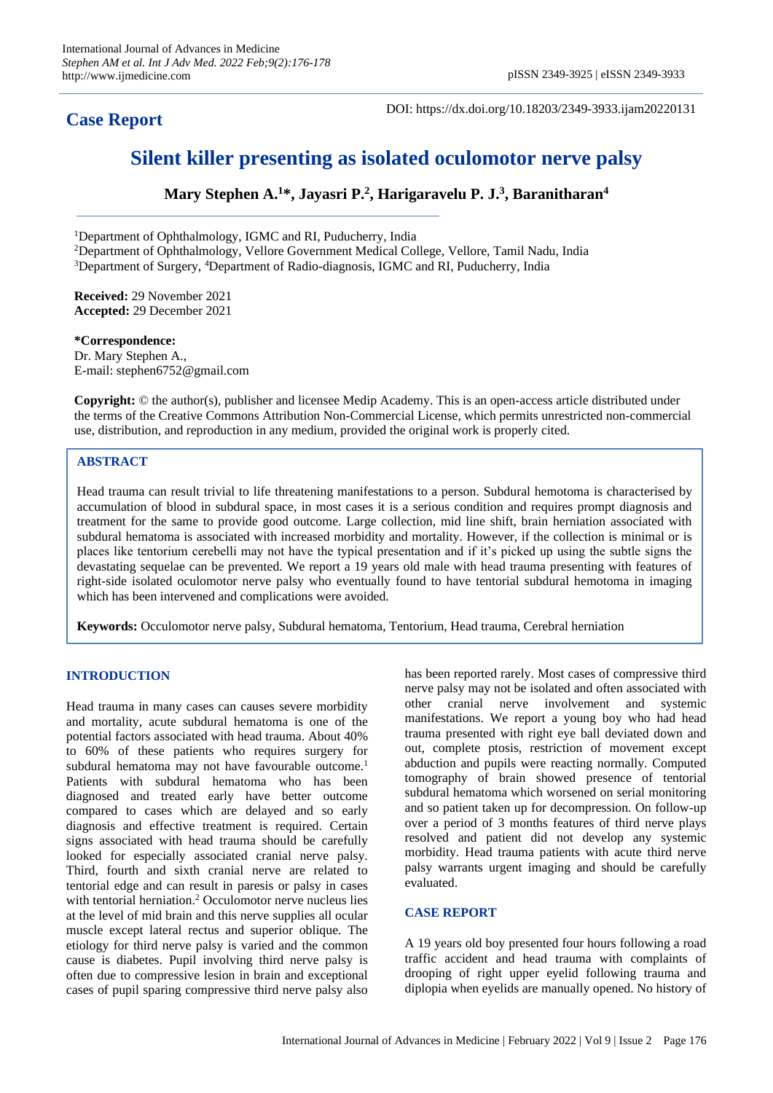## **Case Report**

DOI: https://dx.doi.org/10.18203/2349-3933.ijam20220131

# **Silent killer presenting as isolated oculomotor nerve palsy**

**Mary Stephen A.<sup>1</sup>\*, Jayasri P.<sup>2</sup> , Harigaravelu P. J.<sup>3</sup> , Baranitharan<sup>4</sup>**

<sup>1</sup>Department of Ophthalmology, IGMC and RI, Puducherry, India <sup>2</sup>Department of Ophthalmology, Vellore Government Medical College, Vellore, Tamil Nadu, India <sup>3</sup>Department of Surgery, <sup>4</sup>Department of Radio-diagnosis, IGMC and RI, Puducherry, India

**Received:** 29 November 2021 **Accepted:** 29 December 2021

### **\*Correspondence:**

Dr. Mary Stephen A., E-mail: stephen6752@gmail.com

**Copyright:** © the author(s), publisher and licensee Medip Academy. This is an open-access article distributed under the terms of the Creative Commons Attribution Non-Commercial License, which permits unrestricted non-commercial use, distribution, and reproduction in any medium, provided the original work is properly cited.

## **ABSTRACT**

Head trauma can result trivial to life threatening manifestations to a person. Subdural hemotoma is characterised by accumulation of blood in subdural space, in most cases it is a serious condition and requires prompt diagnosis and treatment for the same to provide good outcome. Large collection, mid line shift, brain herniation associated with subdural hematoma is associated with increased morbidity and mortality. However, if the collection is minimal or is places like tentorium cerebelli may not have the typical presentation and if it's picked up using the subtle signs the devastating sequelae can be prevented. We report a 19 years old male with head trauma presenting with features of right-side isolated oculomotor nerve palsy who eventually found to have tentorial subdural hemotoma in imaging which has been intervened and complications were avoided.

**Keywords:** Occulomotor nerve palsy, Subdural hematoma, Tentorium, Head trauma, Cerebral herniation

## **INTRODUCTION**

Head trauma in many cases can causes severe morbidity and mortality, acute subdural hematoma is one of the potential factors associated with head trauma. About 40% to 60% of these patients who requires surgery for subdural hematoma may not have favourable outcome.<sup>1</sup> Patients with subdural hematoma who has been diagnosed and treated early have better outcome compared to cases which are delayed and so early diagnosis and effective treatment is required. Certain signs associated with head trauma should be carefully looked for especially associated cranial nerve palsy. Third, fourth and sixth cranial nerve are related to tentorial edge and can result in paresis or palsy in cases with tentorial herniation.<sup>2</sup> Occulomotor nerve nucleus lies at the level of mid brain and this nerve supplies all ocular muscle except lateral rectus and superior oblique. The etiology for third nerve palsy is varied and the common cause is diabetes. Pupil involving third nerve palsy is often due to compressive lesion in brain and exceptional cases of pupil sparing compressive third nerve palsy also has been reported rarely. Most cases of compressive third nerve palsy may not be isolated and often associated with other cranial nerve involvement and systemic manifestations. We report a young boy who had head trauma presented with right eye ball deviated down and out, complete ptosis, restriction of movement except abduction and pupils were reacting normally. Computed tomography of brain showed presence of tentorial subdural hematoma which worsened on serial monitoring and so patient taken up for decompression. On follow-up over a period of 3 months features of third nerve plays resolved and patient did not develop any systemic morbidity. Head trauma patients with acute third nerve palsy warrants urgent imaging and should be carefully evaluated.

#### **CASE REPORT**

A 19 years old boy presented four hours following a road traffic accident and head trauma with complaints of drooping of right upper eyelid following trauma and diplopia when eyelids are manually opened. No history of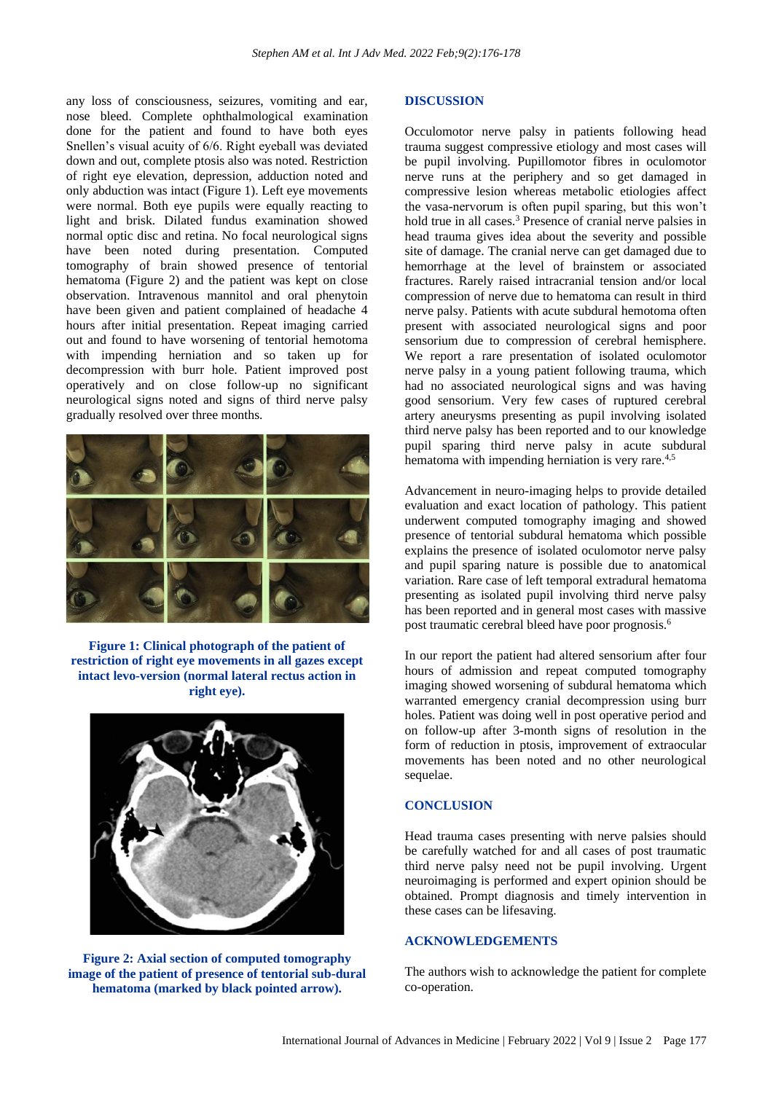any loss of consciousness, seizures, vomiting and ear, nose bleed. Complete ophthalmological examination done for the patient and found to have both eyes Snellen's visual acuity of 6/6. Right eyeball was deviated down and out, complete ptosis also was noted. Restriction of right eye elevation, depression, adduction noted and only abduction was intact (Figure 1). Left eye movements were normal. Both eye pupils were equally reacting to light and brisk. Dilated fundus examination showed normal optic disc and retina. No focal neurological signs have been noted during presentation. Computed tomography of brain showed presence of tentorial hematoma (Figure 2) and the patient was kept on close observation. Intravenous mannitol and oral phenytoin have been given and patient complained of headache 4 hours after initial presentation. Repeat imaging carried out and found to have worsening of tentorial hemotoma with impending herniation and so taken up for decompression with burr hole. Patient improved post operatively and on close follow-up no significant neurological signs noted and signs of third nerve palsy gradually resolved over three months.



**Figure 1: Clinical photograph of the patient of restriction of right eye movements in all gazes except intact levo-version (normal lateral rectus action in right eye).**



**Figure 2: Axial section of computed tomography image of the patient of presence of tentorial sub-dural hematoma (marked by black pointed arrow).**

#### **DISCUSSION**

Occulomotor nerve palsy in patients following head trauma suggest compressive etiology and most cases will be pupil involving. Pupillomotor fibres in oculomotor nerve runs at the periphery and so get damaged in compressive lesion whereas metabolic etiologies affect the vasa-nervorum is often pupil sparing, but this won't hold true in all cases.<sup>3</sup> Presence of cranial nerve palsies in head trauma gives idea about the severity and possible site of damage. The cranial nerve can get damaged due to hemorrhage at the level of brainstem or associated fractures. Rarely raised intracranial tension and/or local compression of nerve due to hematoma can result in third nerve palsy. Patients with acute subdural hemotoma often present with associated neurological signs and poor sensorium due to compression of cerebral hemisphere. We report a rare presentation of isolated oculomotor nerve palsy in a young patient following trauma, which had no associated neurological signs and was having good sensorium. Very few cases of ruptured cerebral artery aneurysms presenting as pupil involving isolated third nerve palsy has been reported and to our knowledge pupil sparing third nerve palsy in acute subdural hematoma with impending herniation is very rare.<sup>4,5</sup>

Advancement in neuro-imaging helps to provide detailed evaluation and exact location of pathology. This patient underwent computed tomography imaging and showed presence of tentorial subdural hematoma which possible explains the presence of isolated oculomotor nerve palsy and pupil sparing nature is possible due to anatomical variation. Rare case of left temporal extradural hematoma presenting as isolated pupil involving third nerve palsy has been reported and in general most cases with massive post traumatic cerebral bleed have poor prognosis.<sup>6</sup>

In our report the patient had altered sensorium after four hours of admission and repeat computed tomography imaging showed worsening of subdural hematoma which warranted emergency cranial decompression using burr holes. Patient was doing well in post operative period and on follow-up after 3-month signs of resolution in the form of reduction in ptosis, improvement of extraocular movements has been noted and no other neurological sequelae.

#### **CONCLUSION**

Head trauma cases presenting with nerve palsies should be carefully watched for and all cases of post traumatic third nerve palsy need not be pupil involving. Urgent neuroimaging is performed and expert opinion should be obtained. Prompt diagnosis and timely intervention in these cases can be lifesaving.

## **ACKNOWLEDGEMENTS**

The authors wish to acknowledge the patient for complete co-operation.